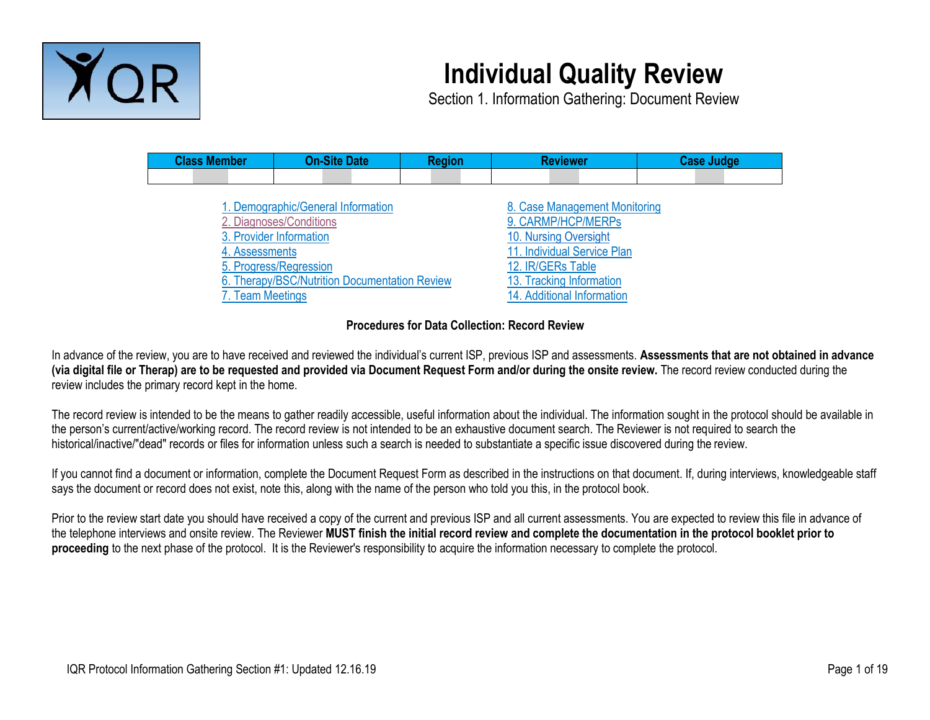

# **Individual Quality Review**

Section 1. Information Gathering: Document Review

| <b>Class Member</b> | <b>On-Site Date</b>                           | <b>Region</b> | <b>Reviewer</b>               | <b>Case Judge</b> |  |  |  |
|---------------------|-----------------------------------------------|---------------|-------------------------------|-------------------|--|--|--|
|                     |                                               |               |                               |                   |  |  |  |
|                     |                                               |               |                               |                   |  |  |  |
|                     | 1. Demographic/General Information            |               | 8. Case Management Monitoring |                   |  |  |  |
|                     | 2. Diagnoses/Conditions                       |               | 9. CARMP/HCP/MERPs            |                   |  |  |  |
|                     | 3. Provider Information                       |               | 10. Nursing Oversight         |                   |  |  |  |
| 4. Assessments      |                                               |               | 11. Individual Service Plan   |                   |  |  |  |
|                     | 5. Progress/Regression                        |               | 12. IR/GERs Table             |                   |  |  |  |
|                     | 6. Therapy/BSC/Nutrition Documentation Review |               | 13. Tracking Information      |                   |  |  |  |
| 7. Team Meetings    |                                               |               | 14. Additional Information    |                   |  |  |  |
|                     |                                               |               |                               |                   |  |  |  |

#### **Procedures for Data Collection: Record Review**

In advance of the review, you are to have received and reviewed the individual's current ISP, previous ISP and assessments. **Assessments that are not obtained in advance (via digital file or Therap) are to be requested and provided via Document Request Form and/or during the onsite review.** The record review conducted during the review includes the primary record kept in the home.

The record review is intended to be the means to gather readily accessible, useful information about the individual. The information sought in the protocol should be available in the person's current/active/working record. The record review is not intended to be an exhaustive document search. The Reviewer is not required to search the historical/inactive/"dead" records or files for information unless such a search is needed to substantiate a specific issue discovered during the review.

If you cannot find a document or information, complete the Document Request Form as described in the instructions on that document. If, during interviews, knowledgeable staff says the document or record does not exist, note this, along with the name of the person who told you this, in the protocol book.

Prior to the review start date you should have received a copy of the current and previous ISP and all current assessments. You are expected to review this file in advance of the telephone interviews and onsite review. The Reviewer **MUST finish the initial record review and complete the documentation in the protocol booklet prior to proceeding** to the next phase of the protocol. It is the Reviewer's responsibility to acquire the information necessary to complete the protocol.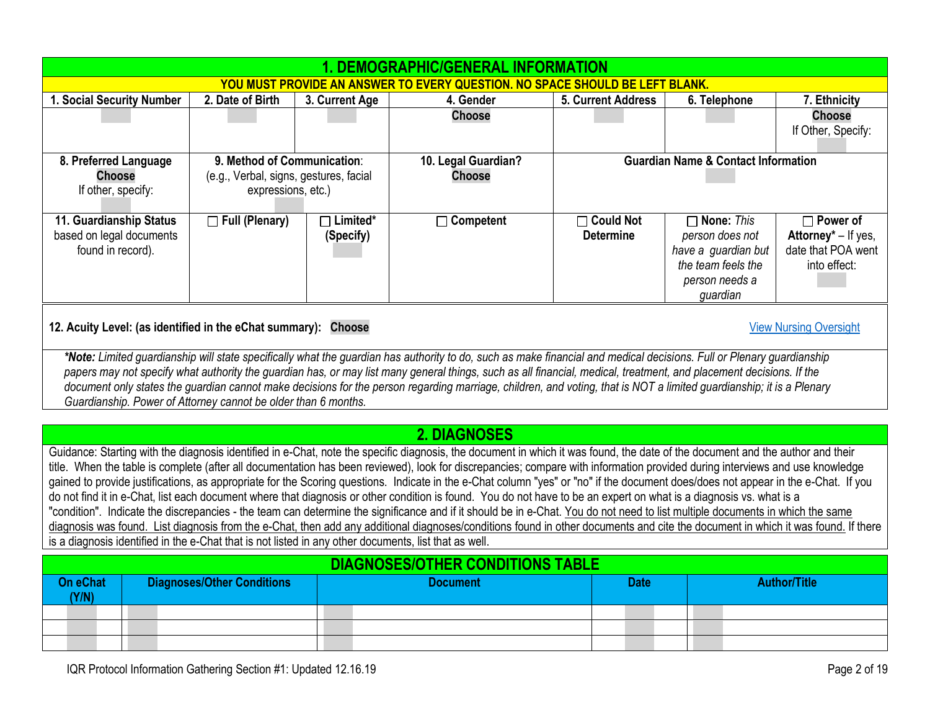<span id="page-1-3"></span><span id="page-1-2"></span><span id="page-1-1"></span>

|                                                                                                 |                                                                                                                                                                                                                                                                                                                                                                                                                                                                                                                                                                                                                                                                                                                                                                                                                                                                                                                                                                                                                                                                                                                                                                                                           |                                                                                             |                              | <b>Choose</b>                           |                                      |                                                                                                                 | <b>Choose</b><br>If Other, Specify:                                          |  |  |  |
|-------------------------------------------------------------------------------------------------|-----------------------------------------------------------------------------------------------------------------------------------------------------------------------------------------------------------------------------------------------------------------------------------------------------------------------------------------------------------------------------------------------------------------------------------------------------------------------------------------------------------------------------------------------------------------------------------------------------------------------------------------------------------------------------------------------------------------------------------------------------------------------------------------------------------------------------------------------------------------------------------------------------------------------------------------------------------------------------------------------------------------------------------------------------------------------------------------------------------------------------------------------------------------------------------------------------------|---------------------------------------------------------------------------------------------|------------------------------|-----------------------------------------|--------------------------------------|-----------------------------------------------------------------------------------------------------------------|------------------------------------------------------------------------------|--|--|--|
| 8. Preferred Language<br><b>Choose</b><br>If other, specify:                                    |                                                                                                                                                                                                                                                                                                                                                                                                                                                                                                                                                                                                                                                                                                                                                                                                                                                                                                                                                                                                                                                                                                                                                                                                           | 9. Method of Communication:<br>(e.g., Verbal, signs, gestures, facial<br>expressions, etc.) |                              | 10. Legal Guardian?<br><b>Choose</b>    |                                      | <b>Guardian Name &amp; Contact Information</b>                                                                  |                                                                              |  |  |  |
| 11. Guardianship Status<br>based on legal documents<br>found in record).                        |                                                                                                                                                                                                                                                                                                                                                                                                                                                                                                                                                                                                                                                                                                                                                                                                                                                                                                                                                                                                                                                                                                                                                                                                           | $\Box$ Full (Plenary)                                                                       | $\Box$ Limited*<br>(Specify) | $\Box$ Competent                        | $\Box$ Could Not<br><b>Determine</b> | $\Box$ None: This<br>person does not<br>have a guardian but<br>the team feels the<br>person needs a<br>guardian | $\Box$ Power of<br>Attorney* - If yes,<br>date that POA went<br>into effect: |  |  |  |
| 12. Acuity Level: (as identified in the eChat summary): Choose<br><b>View Nursing Oversight</b> |                                                                                                                                                                                                                                                                                                                                                                                                                                                                                                                                                                                                                                                                                                                                                                                                                                                                                                                                                                                                                                                                                                                                                                                                           |                                                                                             |                              |                                         |                                      |                                                                                                                 |                                                                              |  |  |  |
|                                                                                                 | *Note: Limited guardianship will state specifically what the guardian has authority to do, such as make financial and medical decisions. Full or Plenary guardianship<br>papers may not specify what authority the guardian has, or may list many general things, such as all financial, medical, treatment, and placement decisions. If the<br>document only states the guardian cannot make decisions for the person regarding marriage, children, and voting, that is NOT a limited guardianship; it is a Plenary<br>Guardianship. Power of Attorney cannot be older than 6 months.                                                                                                                                                                                                                                                                                                                                                                                                                                                                                                                                                                                                                    |                                                                                             |                              |                                         |                                      |                                                                                                                 |                                                                              |  |  |  |
|                                                                                                 |                                                                                                                                                                                                                                                                                                                                                                                                                                                                                                                                                                                                                                                                                                                                                                                                                                                                                                                                                                                                                                                                                                                                                                                                           |                                                                                             |                              | 2. DIAGNOSES                            |                                      |                                                                                                                 |                                                                              |  |  |  |
|                                                                                                 |                                                                                                                                                                                                                                                                                                                                                                                                                                                                                                                                                                                                                                                                                                                                                                                                                                                                                                                                                                                                                                                                                                                                                                                                           |                                                                                             |                              |                                         |                                      |                                                                                                                 |                                                                              |  |  |  |
|                                                                                                 | Guidance: Starting with the diagnosis identified in e-Chat, note the specific diagnosis, the document in which it was found, the date of the document and the author and their<br>title. When the table is complete (after all documentation has been reviewed), look for discrepancies; compare with information provided during interviews and use knowledge<br>gained to provide justifications, as appropriate for the Scoring questions. Indicate in the e-Chat column "yes" or "no" if the document does/does not appear in the e-Chat. If you<br>do not find it in e-Chat, list each document where that diagnosis or other condition is found. You do not have to be an expert on what is a diagnosis vs. what is a<br>"condition". Indicate the discrepancies - the team can determine the significance and if it should be in e-Chat. You do not need to list multiple documents in which the same<br>diagnosis was found. List diagnosis from the e-Chat, then add any additional diagnoses/conditions found in other documents and cite the document in which it was found. If there<br>is a diagnosis identified in the e-Chat that is not listed in any other documents, list that as well. |                                                                                             |                              |                                         |                                      |                                                                                                                 |                                                                              |  |  |  |
|                                                                                                 |                                                                                                                                                                                                                                                                                                                                                                                                                                                                                                                                                                                                                                                                                                                                                                                                                                                                                                                                                                                                                                                                                                                                                                                                           |                                                                                             |                              | <b>DIAGNOSES/OTHER CONDITIONS TABLE</b> |                                      |                                                                                                                 |                                                                              |  |  |  |
| <b>On eChat</b><br>(Y/N)                                                                        |                                                                                                                                                                                                                                                                                                                                                                                                                                                                                                                                                                                                                                                                                                                                                                                                                                                                                                                                                                                                                                                                                                                                                                                                           | <b>Diagnoses/Other Conditions</b>                                                           |                              | <b>Document</b>                         | <b>Date</b>                          |                                                                                                                 | <b>Author/Title</b>                                                          |  |  |  |
|                                                                                                 |                                                                                                                                                                                                                                                                                                                                                                                                                                                                                                                                                                                                                                                                                                                                                                                                                                                                                                                                                                                                                                                                                                                                                                                                           |                                                                                             |                              |                                         |                                      |                                                                                                                 |                                                                              |  |  |  |
|                                                                                                 |                                                                                                                                                                                                                                                                                                                                                                                                                                                                                                                                                                                                                                                                                                                                                                                                                                                                                                                                                                                                                                                                                                                                                                                                           |                                                                                             |                              |                                         |                                      |                                                                                                                 |                                                                              |  |  |  |
|                                                                                                 |                                                                                                                                                                                                                                                                                                                                                                                                                                                                                                                                                                                                                                                                                                                                                                                                                                                                                                                                                                                                                                                                                                                                                                                                           |                                                                                             |                              |                                         |                                      |                                                                                                                 |                                                                              |  |  |  |

<span id="page-1-0"></span>**1. DEMOGRAPHIC/GENERAL INFORMATION YOU MUST PROVIDE AN ANSWER TO EVERY QUESTION. NO SPACE SHOULD BE LEFT BLANK. 1. Social Security Number 2. Date of Birth 3. Current Age 4. Gender 5. Current Address 6. Telephone 7. Ethnicity**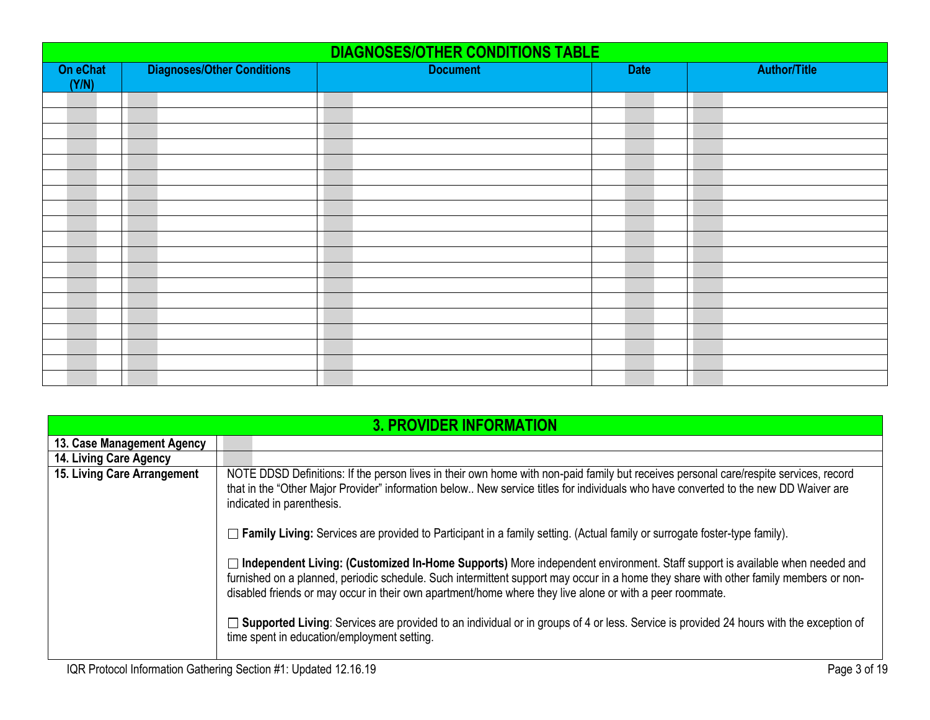|                   | <b>DIAGNOSES/OTHER CONDITIONS TABLE</b> |                 |             |                     |  |  |  |  |  |  |  |  |
|-------------------|-----------------------------------------|-----------------|-------------|---------------------|--|--|--|--|--|--|--|--|
| On eChat<br>(Y/N) | <b>Diagnoses/Other Conditions</b>       | <b>Document</b> | <b>Date</b> | <b>Author/Title</b> |  |  |  |  |  |  |  |  |
|                   |                                         |                 |             |                     |  |  |  |  |  |  |  |  |
|                   |                                         |                 |             |                     |  |  |  |  |  |  |  |  |
|                   |                                         |                 |             |                     |  |  |  |  |  |  |  |  |
|                   |                                         |                 |             |                     |  |  |  |  |  |  |  |  |
|                   |                                         |                 |             |                     |  |  |  |  |  |  |  |  |
|                   |                                         |                 |             |                     |  |  |  |  |  |  |  |  |
|                   |                                         |                 |             |                     |  |  |  |  |  |  |  |  |
|                   |                                         |                 |             |                     |  |  |  |  |  |  |  |  |
|                   |                                         |                 |             |                     |  |  |  |  |  |  |  |  |
|                   |                                         |                 |             |                     |  |  |  |  |  |  |  |  |
|                   |                                         |                 |             |                     |  |  |  |  |  |  |  |  |
|                   |                                         |                 |             |                     |  |  |  |  |  |  |  |  |
|                   |                                         |                 |             |                     |  |  |  |  |  |  |  |  |
|                   |                                         |                 |             |                     |  |  |  |  |  |  |  |  |
|                   |                                         |                 |             |                     |  |  |  |  |  |  |  |  |
|                   |                                         |                 |             |                     |  |  |  |  |  |  |  |  |
|                   |                                         |                 |             |                     |  |  |  |  |  |  |  |  |
|                   |                                         |                 |             |                     |  |  |  |  |  |  |  |  |
|                   |                                         |                 |             |                     |  |  |  |  |  |  |  |  |

<span id="page-2-0"></span>

|                             | <u>3. PROVIDER INFORMATION</u>                                                                                                                                                                                                                                                                                                                                                    |
|-----------------------------|-----------------------------------------------------------------------------------------------------------------------------------------------------------------------------------------------------------------------------------------------------------------------------------------------------------------------------------------------------------------------------------|
| 13. Case Management Agency  |                                                                                                                                                                                                                                                                                                                                                                                   |
| 14. Living Care Agency      |                                                                                                                                                                                                                                                                                                                                                                                   |
| 15. Living Care Arrangement | NOTE DDSD Definitions: If the person lives in their own home with non-paid family but receives personal care/respite services, record<br>that in the "Other Major Provider" information below New service titles for individuals who have converted to the new DD Waiver are<br>indicated in parenthesis.                                                                         |
|                             | $\Box$ Family Living: Services are provided to Participant in a family setting. (Actual family or surrogate foster-type family).                                                                                                                                                                                                                                                  |
|                             | □ Independent Living: (Customized In-Home Supports) More independent environment. Staff support is available when needed and<br>furnished on a planned, periodic schedule. Such intermittent support may occur in a home they share with other family members or non-<br>disabled friends or may occur in their own apartment/home where they live alone or with a peer roommate. |
|                             | □ Supported Living: Services are provided to an individual or in groups of 4 or less. Service is provided 24 hours with the exception of<br>time spent in education/employment setting.                                                                                                                                                                                           |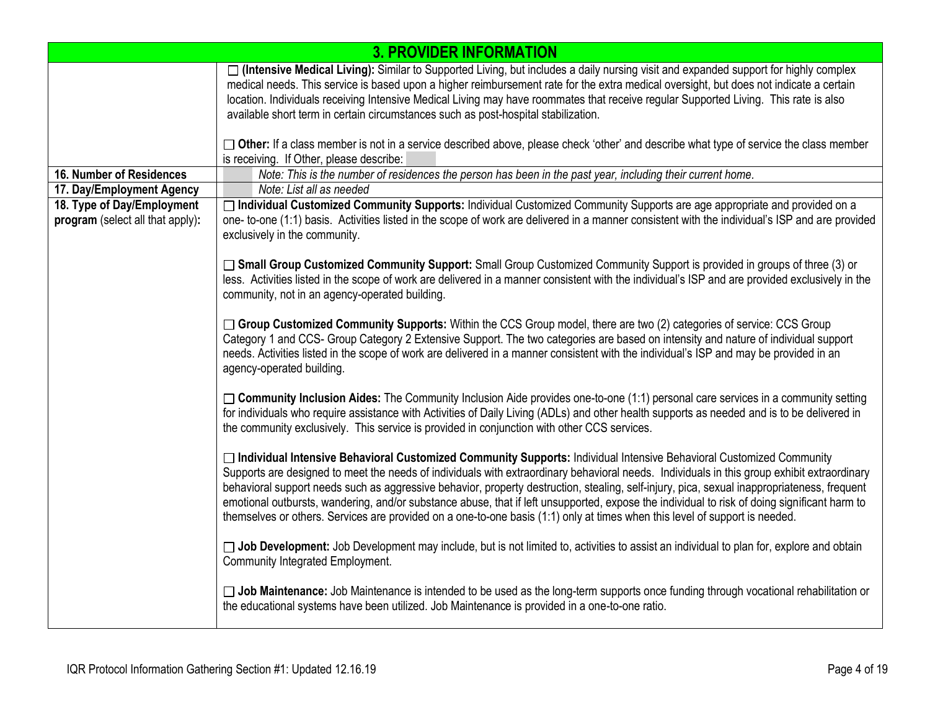|                                                                | <b>3. PROVIDER INFORMATION</b>                                                                                                                                                                                                                                                                                                                                                                                                                                                                                                                                                                                                                                                                     |
|----------------------------------------------------------------|----------------------------------------------------------------------------------------------------------------------------------------------------------------------------------------------------------------------------------------------------------------------------------------------------------------------------------------------------------------------------------------------------------------------------------------------------------------------------------------------------------------------------------------------------------------------------------------------------------------------------------------------------------------------------------------------------|
|                                                                | □ (Intensive Medical Living): Similar to Supported Living, but includes a daily nursing visit and expanded support for highly complex<br>medical needs. This service is based upon a higher reimbursement rate for the extra medical oversight, but does not indicate a certain<br>location. Individuals receiving Intensive Medical Living may have roommates that receive regular Supported Living. This rate is also<br>available short term in certain circumstances such as post-hospital stabilization.                                                                                                                                                                                      |
|                                                                | $\Box$ Other: If a class member is not in a service described above, please check 'other' and describe what type of service the class member<br>is receiving. If Other, please describe:                                                                                                                                                                                                                                                                                                                                                                                                                                                                                                           |
| 16. Number of Residences                                       | Note: This is the number of residences the person has been in the past year, including their current home.                                                                                                                                                                                                                                                                                                                                                                                                                                                                                                                                                                                         |
| 17. Day/Employment Agency                                      | Note: List all as needed                                                                                                                                                                                                                                                                                                                                                                                                                                                                                                                                                                                                                                                                           |
| 18. Type of Day/Employment<br>program (select all that apply): | □ Individual Customized Community Supports: Individual Customized Community Supports are age appropriate and provided on a<br>one- to-one (1:1) basis. Activities listed in the scope of work are delivered in a manner consistent with the individual's ISP and are provided<br>exclusively in the community.                                                                                                                                                                                                                                                                                                                                                                                     |
|                                                                | □ Small Group Customized Community Support: Small Group Customized Community Support is provided in groups of three (3) or<br>less. Activities listed in the scope of work are delivered in a manner consistent with the individual's ISP and are provided exclusively in the<br>community, not in an agency-operated building.                                                                                                                                                                                                                                                                                                                                                                    |
|                                                                | □ Group Customized Community Supports: Within the CCS Group model, there are two (2) categories of service: CCS Group<br>Category 1 and CCS- Group Category 2 Extensive Support. The two categories are based on intensity and nature of individual support<br>needs. Activities listed in the scope of work are delivered in a manner consistent with the individual's ISP and may be provided in an<br>agency-operated building.                                                                                                                                                                                                                                                                 |
|                                                                | □ Community Inclusion Aides: The Community Inclusion Aide provides one-to-one (1:1) personal care services in a community setting<br>for individuals who require assistance with Activities of Daily Living (ADLs) and other health supports as needed and is to be delivered in<br>the community exclusively. This service is provided in conjunction with other CCS services.                                                                                                                                                                                                                                                                                                                    |
|                                                                | □ Individual Intensive Behavioral Customized Community Supports: Individual Intensive Behavioral Customized Community<br>Supports are designed to meet the needs of individuals with extraordinary behavioral needs. Individuals in this group exhibit extraordinary<br>behavioral support needs such as aggressive behavior, property destruction, stealing, self-injury, pica, sexual inappropriateness, frequent<br>emotional outbursts, wandering, and/or substance abuse, that if left unsupported, expose the individual to risk of doing significant harm to<br>themselves or others. Services are provided on a one-to-one basis (1:1) only at times when this level of support is needed. |
|                                                                | □ Job Development: Job Development may include, but is not limited to, activities to assist an individual to plan for, explore and obtain<br>Community Integrated Employment.                                                                                                                                                                                                                                                                                                                                                                                                                                                                                                                      |
|                                                                | □ Job Maintenance: Job Maintenance is intended to be used as the long-term supports once funding through vocational rehabilitation or<br>the educational systems have been utilized. Job Maintenance is provided in a one-to-one ratio.                                                                                                                                                                                                                                                                                                                                                                                                                                                            |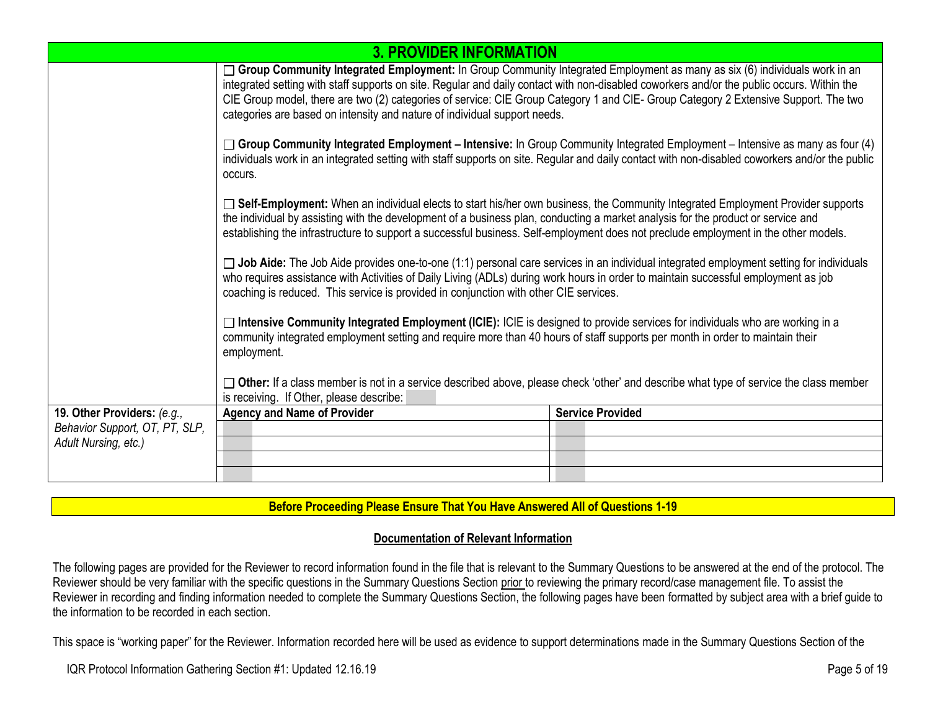|                                | <b>3. PROVIDER INFORMATION</b>                                                                                                                                                                                                                                                                                                                                                                                                                                                                                                                                                                                                                                                                                                                                                                                                                                                                                                                                                                                                                                                                                                                                                                                        |                         |  |  |  |  |  |  |
|--------------------------------|-----------------------------------------------------------------------------------------------------------------------------------------------------------------------------------------------------------------------------------------------------------------------------------------------------------------------------------------------------------------------------------------------------------------------------------------------------------------------------------------------------------------------------------------------------------------------------------------------------------------------------------------------------------------------------------------------------------------------------------------------------------------------------------------------------------------------------------------------------------------------------------------------------------------------------------------------------------------------------------------------------------------------------------------------------------------------------------------------------------------------------------------------------------------------------------------------------------------------|-------------------------|--|--|--|--|--|--|
|                                | $\Box$ Group Community Integrated Employment: In Group Community Integrated Employment as many as six (6) individuals work in an<br>integrated setting with staff supports on site. Regular and daily contact with non-disabled coworkers and/or the public occurs. Within the<br>CIE Group model, there are two (2) categories of service: CIE Group Category 1 and CIE- Group Category 2 Extensive Support. The two<br>categories are based on intensity and nature of individual support needs.<br>$\Box$ Group Community Integrated Employment – Intensive: In Group Community Integrated Employment – Intensive as many as four (4)<br>individuals work in an integrated setting with staff supports on site. Regular and daily contact with non-disabled coworkers and/or the public<br>occurs.<br>□ Self-Employment: When an individual elects to start his/her own business, the Community Integrated Employment Provider supports<br>the individual by assisting with the development of a business plan, conducting a market analysis for the product or service and<br>establishing the infrastructure to support a successful business. Self-employment does not preclude employment in the other models. |                         |  |  |  |  |  |  |
|                                |                                                                                                                                                                                                                                                                                                                                                                                                                                                                                                                                                                                                                                                                                                                                                                                                                                                                                                                                                                                                                                                                                                                                                                                                                       |                         |  |  |  |  |  |  |
|                                |                                                                                                                                                                                                                                                                                                                                                                                                                                                                                                                                                                                                                                                                                                                                                                                                                                                                                                                                                                                                                                                                                                                                                                                                                       |                         |  |  |  |  |  |  |
|                                | $\Box$ Job Aide: The Job Aide provides one-to-one (1:1) personal care services in an individual integrated employment setting for individuals<br>who requires assistance with Activities of Daily Living (ADLs) during work hours in order to maintain successful employment as job<br>coaching is reduced. This service is provided in conjunction with other CIE services.                                                                                                                                                                                                                                                                                                                                                                                                                                                                                                                                                                                                                                                                                                                                                                                                                                          |                         |  |  |  |  |  |  |
|                                | $\Box$ Intensive Community Integrated Employment (ICIE): ICIE is designed to provide services for individuals who are working in a<br>community integrated employment setting and require more than 40 hours of staff supports per month in order to maintain their<br>employment.                                                                                                                                                                                                                                                                                                                                                                                                                                                                                                                                                                                                                                                                                                                                                                                                                                                                                                                                    |                         |  |  |  |  |  |  |
|                                | $\Box$ Other: If a class member is not in a service described above, please check 'other' and describe what type of service the class member<br>is receiving. If Other, please describe:                                                                                                                                                                                                                                                                                                                                                                                                                                                                                                                                                                                                                                                                                                                                                                                                                                                                                                                                                                                                                              |                         |  |  |  |  |  |  |
| 19. Other Providers: (e.g.,    | <b>Agency and Name of Provider</b>                                                                                                                                                                                                                                                                                                                                                                                                                                                                                                                                                                                                                                                                                                                                                                                                                                                                                                                                                                                                                                                                                                                                                                                    | <b>Service Provided</b> |  |  |  |  |  |  |
| Behavior Support, OT, PT, SLP, |                                                                                                                                                                                                                                                                                                                                                                                                                                                                                                                                                                                                                                                                                                                                                                                                                                                                                                                                                                                                                                                                                                                                                                                                                       |                         |  |  |  |  |  |  |
| Adult Nursing, etc.)           |                                                                                                                                                                                                                                                                                                                                                                                                                                                                                                                                                                                                                                                                                                                                                                                                                                                                                                                                                                                                                                                                                                                                                                                                                       |                         |  |  |  |  |  |  |
|                                |                                                                                                                                                                                                                                                                                                                                                                                                                                                                                                                                                                                                                                                                                                                                                                                                                                                                                                                                                                                                                                                                                                                                                                                                                       |                         |  |  |  |  |  |  |
|                                |                                                                                                                                                                                                                                                                                                                                                                                                                                                                                                                                                                                                                                                                                                                                                                                                                                                                                                                                                                                                                                                                                                                                                                                                                       |                         |  |  |  |  |  |  |

### **Before Proceeding Please Ensure That You Have Answered All of Questions 1-19**

#### **Documentation of Relevant Information**

The following pages are provided for the Reviewer to record information found in the file that is relevant to the Summary Questions to be answered at the end of the protocol. The Reviewer should be very familiar with the specific questions in the Summary Questions Section prior to reviewing the primary record/case management file. To assist the Reviewer in recording and finding information needed to complete the Summary Questions Section, the following pages have been formatted by subject area with a brief guide to the information to be recorded in each section.

This space is "working paper" for the Reviewer. Information recorded here will be used as evidence to support determinations made in the Summary Questions Section of the

IQR Protocol Information Gathering Section #1: Updated 12.16.19 Page 5 of 19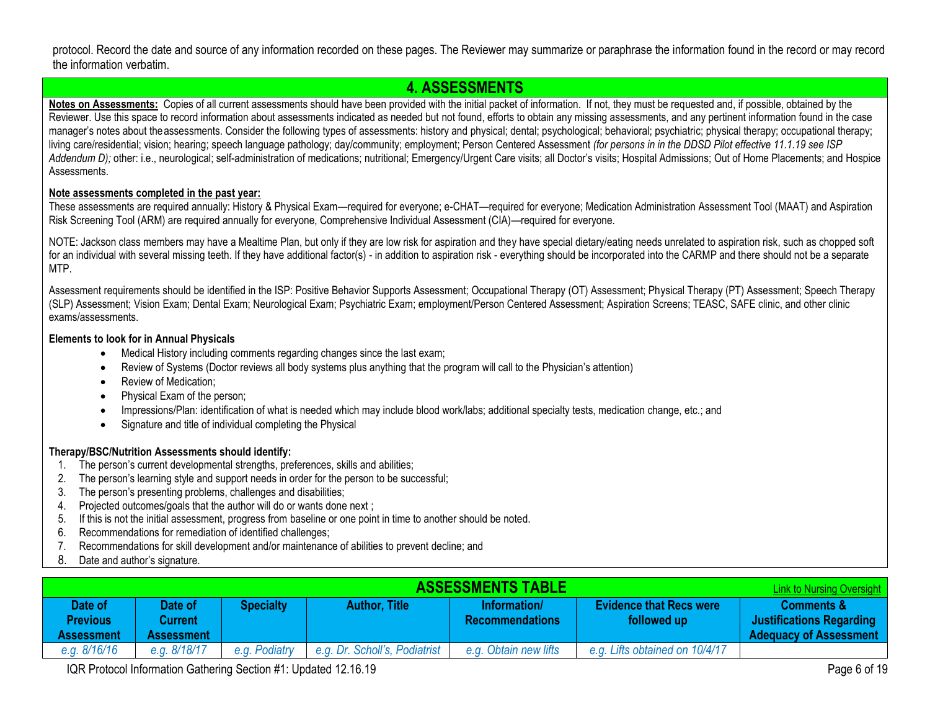protocol. Record the date and source of any information recorded on these pages. The Reviewer may summarize or paraphrase the information found in the record or may record the information verbatim.

### <span id="page-5-0"></span>**4. ASSESSMENTS**

Notes on Assessments: Copies of all current assessments should have been provided with the initial packet of information. If not, they must be requested and, if possible, obtained by the Reviewer. Use this space to record information about assessments indicated as needed but not found, efforts to obtain any missing assessments, and any pertinent information found in the case manager's notes about theassessments. Consider the following types of assessments: history and physical; dental; psychological; behavioral; psychiatric; physical therapy; occupational therapy; living care/residential; vision; hearing; speech language pathology; day/community; employment; Person Centered Assessment *(for persons in in the DDSD Pilot effective 11.1.19 see ISP*  Addendum D); other: i.e., neurological; self-administration of medications; nutritional; Emergency/Urgent Care visits; all Doctor's visits; Hospital Admissions; Out of Home Placements; and Hospice Assessments.

#### **Note assessments completed in the past year:**

These assessments are required annually: History & Physical Exam—required for everyone; e-CHAT—required for everyone; Medication Administration Assessment Tool (MAAT) and Aspiration Risk Screening Tool (ARM) are required annually for everyone, Comprehensive Individual Assessment (CIA)—required for everyone.

NOTE: Jackson class members may have a Mealtime Plan, but only if they are low risk for aspiration and they have special dietary/eating needs unrelated to aspiration risk, such as chopped soft for an individual with several missing teeth. If they have additional factor(s) - in addition to aspiration risk - everything should be incorporated into the CARMP and there should not be a separate MTP.

Assessment requirements should be identified in the ISP: Positive Behavior Supports Assessment; Occupational Therapy (OT) Assessment; Physical Therapy (PT) Assessment; Speech Therapy (SLP) Assessment; Vision Exam; Dental Exam; Neurological Exam; Psychiatric Exam; employment/Person Centered Assessment; Aspiration Screens; TEASC, SAFE clinic, and other clinic exams/assessments.

#### **Elements to look for in Annual Physicals**

- Medical History including comments regarding changes since the last exam;
- Review of Systems (Doctor reviews all body systems plus anything that the program will call to the Physician's attention)
- Review of Medication;
- Physical Exam of the person;
- Impressions/Plan: identification of what is needed which may include blood work/labs; additional specialty tests, medication change, etc.; and
- Signature and title of individual completing the Physical

#### **Therapy/BSC/Nutrition Assessments should identify:**

- 1. The person's current developmental strengths, preferences, skills and abilities;
- 2. The person's learning style and support needs in order for the person to be successful;
- 3. The person's presenting problems, challenges and disabilities;
- 4. Projected outcomes/goals that the author will do or wants done next ;
- 5. If this is not the initial assessment, progress from baseline or one point in time to another should be noted.
- 6. Recommendations for remediation of identified challenges;
- 7. Recommendations for skill development and/or maintenance of abilities to prevent decline; and
- 8. Date and author's signature.

<span id="page-5-1"></span>

|                                                 | <b>ASSESSMENTS TABLE</b><br><b>Link to Nursing Oversight</b> |                  |                               |                                        |                                               |                                                                                           |  |  |  |  |  |  |
|-------------------------------------------------|--------------------------------------------------------------|------------------|-------------------------------|----------------------------------------|-----------------------------------------------|-------------------------------------------------------------------------------------------|--|--|--|--|--|--|
| Date of<br><b>Previous</b><br><b>Assessment</b> | Date of<br>Current<br><b>Assessment</b>                      | <b>Specialty</b> | <b>Author, Title</b>          | Information/<br><b>Recommendations</b> | <b>Evidence that Recs were</b><br>followed up | <b>Comments &amp;</b><br><b>Justifications Regarding</b><br><b>Adequacy of Assessment</b> |  |  |  |  |  |  |
| e.g. 8/16/16                                    | e.g. 8/18/17                                                 | e.g. Podiatry    | e.g. Dr. Scholl's, Podiatrist | e.g. Obtain new lifts                  | e.g. Lifts obtained on 10/4/17                |                                                                                           |  |  |  |  |  |  |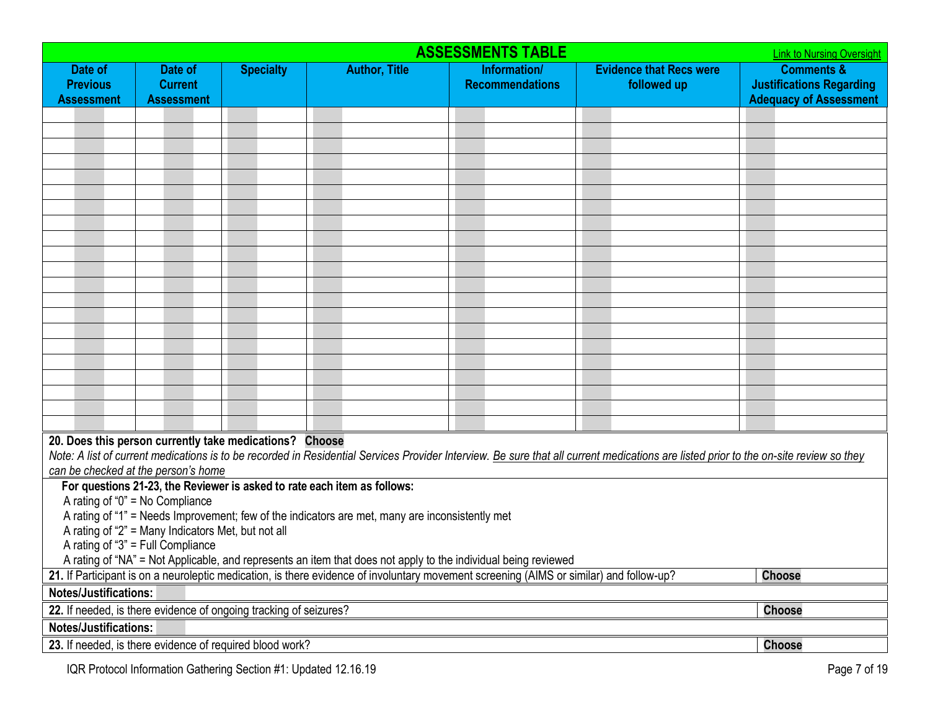| <b>ASSESSMENTS TABLE</b><br><b>Link to Nursing Oversight</b> |                                                                                                                                                                                                                                                                            |                  |                                                                                                 |                                        |                                                                                                                                                                                       |                                                                                           |  |  |  |  |
|--------------------------------------------------------------|----------------------------------------------------------------------------------------------------------------------------------------------------------------------------------------------------------------------------------------------------------------------------|------------------|-------------------------------------------------------------------------------------------------|----------------------------------------|---------------------------------------------------------------------------------------------------------------------------------------------------------------------------------------|-------------------------------------------------------------------------------------------|--|--|--|--|
| Date of<br><b>Previous</b><br><b>Assessment</b>              | Date of<br><b>Current</b><br><b>Assessment</b>                                                                                                                                                                                                                             | <b>Specialty</b> | <b>Author, Title</b>                                                                            | Information/<br><b>Recommendations</b> | <b>Evidence that Recs were</b><br>followed up                                                                                                                                         | <b>Comments &amp;</b><br><b>Justifications Regarding</b><br><b>Adequacy of Assessment</b> |  |  |  |  |
|                                                              |                                                                                                                                                                                                                                                                            |                  |                                                                                                 |                                        |                                                                                                                                                                                       |                                                                                           |  |  |  |  |
|                                                              |                                                                                                                                                                                                                                                                            |                  |                                                                                                 |                                        |                                                                                                                                                                                       |                                                                                           |  |  |  |  |
|                                                              |                                                                                                                                                                                                                                                                            |                  |                                                                                                 |                                        |                                                                                                                                                                                       |                                                                                           |  |  |  |  |
|                                                              |                                                                                                                                                                                                                                                                            |                  |                                                                                                 |                                        |                                                                                                                                                                                       |                                                                                           |  |  |  |  |
|                                                              |                                                                                                                                                                                                                                                                            |                  |                                                                                                 |                                        |                                                                                                                                                                                       |                                                                                           |  |  |  |  |
|                                                              |                                                                                                                                                                                                                                                                            |                  |                                                                                                 |                                        |                                                                                                                                                                                       |                                                                                           |  |  |  |  |
|                                                              |                                                                                                                                                                                                                                                                            |                  |                                                                                                 |                                        |                                                                                                                                                                                       |                                                                                           |  |  |  |  |
|                                                              |                                                                                                                                                                                                                                                                            |                  |                                                                                                 |                                        |                                                                                                                                                                                       |                                                                                           |  |  |  |  |
|                                                              |                                                                                                                                                                                                                                                                            |                  |                                                                                                 |                                        |                                                                                                                                                                                       |                                                                                           |  |  |  |  |
|                                                              |                                                                                                                                                                                                                                                                            |                  |                                                                                                 |                                        |                                                                                                                                                                                       |                                                                                           |  |  |  |  |
|                                                              |                                                                                                                                                                                                                                                                            |                  |                                                                                                 |                                        |                                                                                                                                                                                       |                                                                                           |  |  |  |  |
|                                                              |                                                                                                                                                                                                                                                                            |                  |                                                                                                 |                                        |                                                                                                                                                                                       |                                                                                           |  |  |  |  |
|                                                              |                                                                                                                                                                                                                                                                            |                  |                                                                                                 |                                        |                                                                                                                                                                                       |                                                                                           |  |  |  |  |
|                                                              |                                                                                                                                                                                                                                                                            |                  |                                                                                                 |                                        |                                                                                                                                                                                       |                                                                                           |  |  |  |  |
|                                                              |                                                                                                                                                                                                                                                                            |                  |                                                                                                 |                                        |                                                                                                                                                                                       |                                                                                           |  |  |  |  |
|                                                              |                                                                                                                                                                                                                                                                            |                  |                                                                                                 |                                        |                                                                                                                                                                                       |                                                                                           |  |  |  |  |
|                                                              |                                                                                                                                                                                                                                                                            |                  |                                                                                                 |                                        |                                                                                                                                                                                       |                                                                                           |  |  |  |  |
|                                                              |                                                                                                                                                                                                                                                                            |                  |                                                                                                 |                                        |                                                                                                                                                                                       |                                                                                           |  |  |  |  |
|                                                              | 20. Does this person currently take medications? Choose                                                                                                                                                                                                                    |                  |                                                                                                 |                                        |                                                                                                                                                                                       |                                                                                           |  |  |  |  |
|                                                              | can be checked at the person's home                                                                                                                                                                                                                                        |                  |                                                                                                 |                                        | Note: A list of current medications is to be recorded in Residential Services Provider Interview. Be sure that all current medications are listed prior to the on-site review so they |                                                                                           |  |  |  |  |
|                                                              |                                                                                                                                                                                                                                                                            |                  | For questions 21-23, the Reviewer is asked to rate each item as follows:                        |                                        |                                                                                                                                                                                       |                                                                                           |  |  |  |  |
|                                                              | A rating of " $0$ " = No Compliance                                                                                                                                                                                                                                        |                  |                                                                                                 |                                        |                                                                                                                                                                                       |                                                                                           |  |  |  |  |
|                                                              | A rating of "2" = Many Indicators Met, but not all                                                                                                                                                                                                                         |                  | A rating of "1" = Needs Improvement; few of the indicators are met, many are inconsistently met |                                        |                                                                                                                                                                                       |                                                                                           |  |  |  |  |
|                                                              | A rating of "3" = Full Compliance                                                                                                                                                                                                                                          |                  |                                                                                                 |                                        |                                                                                                                                                                                       |                                                                                           |  |  |  |  |
|                                                              |                                                                                                                                                                                                                                                                            |                  |                                                                                                 |                                        |                                                                                                                                                                                       |                                                                                           |  |  |  |  |
|                                                              | A rating of "NA" = Not Applicable, and represents an item that does not apply to the individual being reviewed<br>21. If Participant is on a neuroleptic medication, is there evidence of involuntary movement screening (AIMS or similar) and follow-up?<br><b>Choose</b> |                  |                                                                                                 |                                        |                                                                                                                                                                                       |                                                                                           |  |  |  |  |
|                                                              | <b>Notes/Justifications:</b>                                                                                                                                                                                                                                               |                  |                                                                                                 |                                        |                                                                                                                                                                                       |                                                                                           |  |  |  |  |
|                                                              | 22. If needed, is there evidence of ongoing tracking of seizures?                                                                                                                                                                                                          |                  |                                                                                                 |                                        |                                                                                                                                                                                       | <b>Choose</b>                                                                             |  |  |  |  |
| Notes/Justifications:                                        |                                                                                                                                                                                                                                                                            |                  |                                                                                                 |                                        |                                                                                                                                                                                       |                                                                                           |  |  |  |  |
|                                                              | 23. If needed, is there evidence of required blood work?                                                                                                                                                                                                                   |                  |                                                                                                 |                                        |                                                                                                                                                                                       | <b>Choose</b>                                                                             |  |  |  |  |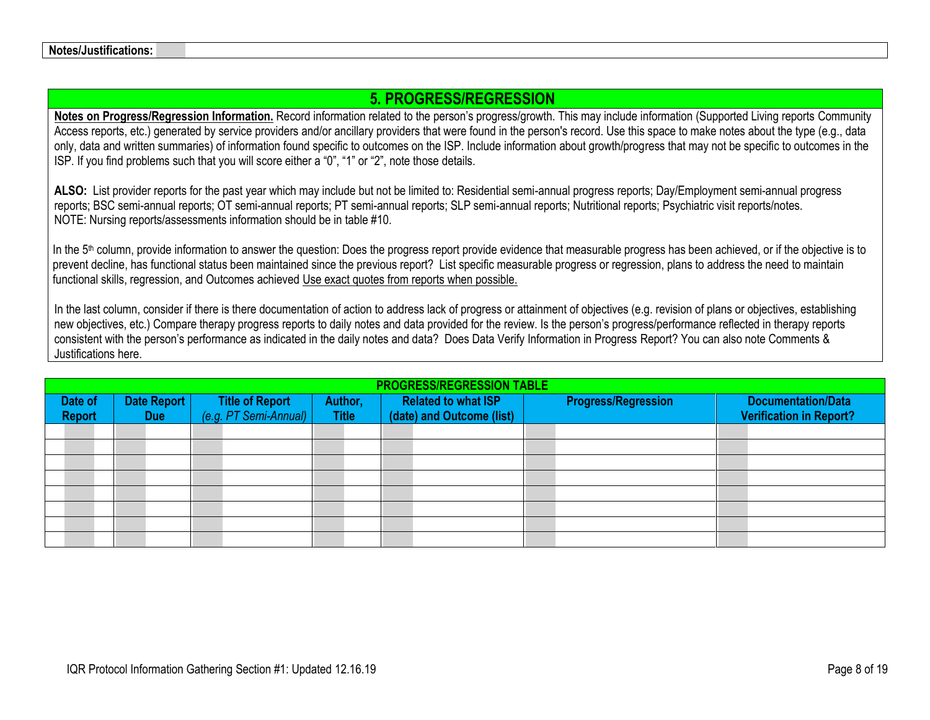# <span id="page-7-0"></span>**5. PROGRESS/REGRESSION**

**Notes on Progress/Regression Information.** Record information related to the person's progress/growth. This may include information (Supported Living reports Community Access reports, etc.) generated by service providers and/or ancillary providers that were found in the person's record. Use this space to make notes about the type (e.g., data only, data and written summaries) of information found specific to outcomes on the ISP. Include information about growth/progress that may not be specific to outcomes in the ISP. If you find problems such that you will score either a "0", "1" or "2", note those details.

**ALSO:** List provider reports for the past year which may include but not be limited to: Residential semi-annual progress reports; Day/Employment semi-annual progress reports; BSC semi-annual reports; OT semi-annual reports; PT semi-annual reports; SLP semi-annual reports; Nutritional reports; Psychiatric visit reports/notes. NOTE: Nursing reports/assessments information should be in table #10.

In the 5<sup>th</sup> column, provide information to answer the question: Does the progress report provide evidence that measurable progress has been achieved, or if the objective is to prevent decline, has functional status been maintained since the previous report? List specific measurable progress or regression, plans to address the need to maintain functional skills, regression, and Outcomes achieved Use exact quotes from reports when possible.

In the last column, consider if there is there documentation of action to address lack of progress or attainment of objectives (e.g. revision of plans or objectives, establishing new objectives, etc.) Compare therapy progress reports to daily notes and data provided for the review. Is the person's progress/performance reflected in therapy reports consistent with the person's performance as indicated in the daily notes and data? Does Data Verify Information in Progress Report? You can also note Comments & Justifications here.

| <b>PROGRESS/REGRESSION TABLE</b> |                           |  |                                                 |                         |  |                                                         |  |                            |                                                             |  |  |
|----------------------------------|---------------------------|--|-------------------------------------------------|-------------------------|--|---------------------------------------------------------|--|----------------------------|-------------------------------------------------------------|--|--|
| Date of<br><b>Report</b>         | Date Report<br><b>Due</b> |  | <b>Title of Report</b><br>(e.g. PT Semi-Annual) | Author,<br><b>Title</b> |  | <b>Related to what ISP</b><br>(date) and Outcome (list) |  | <b>Progress/Regression</b> | <b>Documentation/Data</b><br><b>Verification in Report?</b> |  |  |
|                                  |                           |  |                                                 |                         |  |                                                         |  |                            |                                                             |  |  |
|                                  |                           |  |                                                 |                         |  |                                                         |  |                            |                                                             |  |  |
|                                  |                           |  |                                                 |                         |  |                                                         |  |                            |                                                             |  |  |
|                                  |                           |  |                                                 |                         |  |                                                         |  |                            |                                                             |  |  |
|                                  |                           |  |                                                 |                         |  |                                                         |  |                            |                                                             |  |  |
|                                  |                           |  |                                                 |                         |  |                                                         |  |                            |                                                             |  |  |
|                                  |                           |  |                                                 |                         |  |                                                         |  |                            |                                                             |  |  |
|                                  |                           |  |                                                 |                         |  |                                                         |  |                            |                                                             |  |  |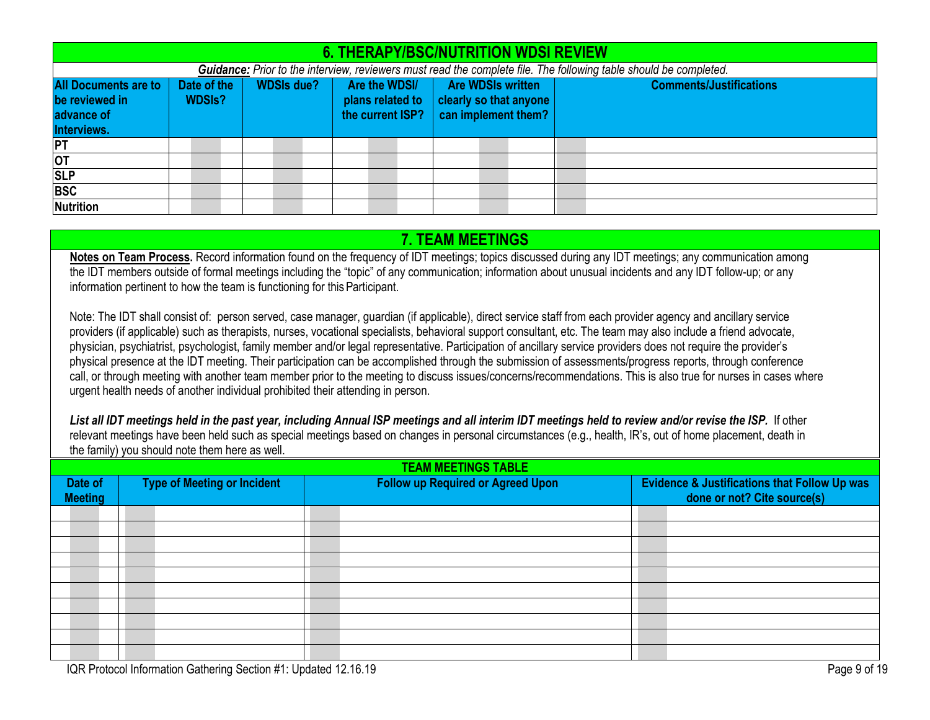| <b>6. THERAPY/BSC/NUTRITION WDSI REVIEW</b>                                                                       |               |                   |  |  |                  |                  |                        |  |                     |  |                                |  |
|-------------------------------------------------------------------------------------------------------------------|---------------|-------------------|--|--|------------------|------------------|------------------------|--|---------------------|--|--------------------------------|--|
| Guidance: Prior to the interview, reviewers must read the complete file. The following table should be completed. |               |                   |  |  |                  |                  |                        |  |                     |  |                                |  |
| <b>All Documents are to</b>                                                                                       | Date of the   | <b>WDSIs due?</b> |  |  | Are the WDSI/    |                  | Are WDSIs written      |  |                     |  | <b>Comments/Justifications</b> |  |
| be reviewed in                                                                                                    | <b>WDSIs?</b> |                   |  |  | plans related to |                  | clearly so that anyone |  |                     |  |                                |  |
| advance of                                                                                                        |               |                   |  |  |                  | the current ISP? |                        |  | can implement them? |  |                                |  |
| Interviews.                                                                                                       |               |                   |  |  |                  |                  |                        |  |                     |  |                                |  |
| <b>PT</b>                                                                                                         |               |                   |  |  |                  |                  |                        |  |                     |  |                                |  |
| <b>OT</b>                                                                                                         |               |                   |  |  |                  |                  |                        |  |                     |  |                                |  |
| <b>SLP</b>                                                                                                        |               |                   |  |  |                  |                  |                        |  |                     |  |                                |  |
| <b>BSC</b>                                                                                                        |               |                   |  |  |                  |                  |                        |  |                     |  |                                |  |
| <b>Nutrition</b>                                                                                                  |               |                   |  |  |                  |                  |                        |  |                     |  |                                |  |

### <span id="page-8-1"></span><span id="page-8-0"></span>**7. TEAM MEETINGS**

**Notes on Team Process.** Record information found on the frequency of IDT meetings; topics discussed during any IDT meetings; any communication among the IDT members outside of formal meetings including the "topic" of any communication; information about unusual incidents and any IDT follow-up; or any information pertinent to how the team is functioning for this Participant.

Note: The IDT shall consist of: person served, case manager, guardian (if applicable), direct service staff from each provider agency and ancillary service providers (if applicable) such as therapists, nurses, vocational specialists, behavioral support consultant, etc. The team may also include a friend advocate, physician, psychiatrist, psychologist, family member and/or legal representative. Participation of ancillary service providers does not require the provider's physical presence at the IDT meeting. Their participation can be accomplished through the submission of assessments/progress reports, through conference call, or through meeting with another team member prior to the meeting to discuss issues/concerns/recommendations. This is also true for nurses in cases where urgent health needs of another individual prohibited their attending in person.

*List all IDT meetings held in the past year, including Annual ISP meetings and all interim IDT meetings held to review and/or revise the ISP.* If other relevant meetings have been held such as special meetings based on changes in personal circumstances (e.g., health, IR's, out of home placement, death in the family) you should note them here as well.

| <b>TEAM MEETINGS TABLE</b> |                                    |                                          |                                                                                        |  |  |  |  |  |  |  |
|----------------------------|------------------------------------|------------------------------------------|----------------------------------------------------------------------------------------|--|--|--|--|--|--|--|
| Date of<br><b>Meeting</b>  | <b>Type of Meeting or Incident</b> | <b>Follow up Required or Agreed Upon</b> | <b>Evidence &amp; Justifications that Follow Up was</b><br>done or not? Cite source(s) |  |  |  |  |  |  |  |
|                            |                                    |                                          |                                                                                        |  |  |  |  |  |  |  |
|                            |                                    |                                          |                                                                                        |  |  |  |  |  |  |  |
|                            |                                    |                                          |                                                                                        |  |  |  |  |  |  |  |
|                            |                                    |                                          |                                                                                        |  |  |  |  |  |  |  |
|                            |                                    |                                          |                                                                                        |  |  |  |  |  |  |  |
|                            |                                    |                                          |                                                                                        |  |  |  |  |  |  |  |
|                            |                                    |                                          |                                                                                        |  |  |  |  |  |  |  |
|                            |                                    |                                          |                                                                                        |  |  |  |  |  |  |  |
|                            |                                    |                                          |                                                                                        |  |  |  |  |  |  |  |
|                            |                                    |                                          |                                                                                        |  |  |  |  |  |  |  |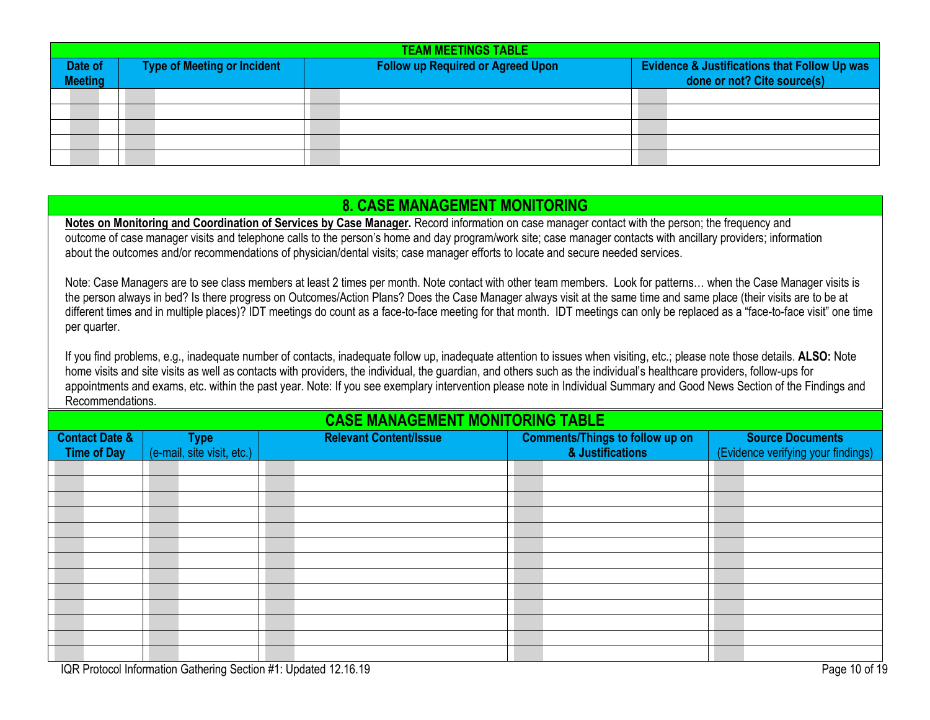|                           | <b>TEAM MEETINGS TABLE</b>  |  |                                          |  |  |                                                                                        |  |  |  |  |  |  |  |
|---------------------------|-----------------------------|--|------------------------------------------|--|--|----------------------------------------------------------------------------------------|--|--|--|--|--|--|--|
| Date of<br><b>Meeting</b> | Type of Meeting or Incident |  | <b>Follow up Required or Agreed Upon</b> |  |  | <b>Evidence &amp; Justifications that Follow Up was</b><br>done or not? Cite source(s) |  |  |  |  |  |  |  |
|                           |                             |  |                                          |  |  |                                                                                        |  |  |  |  |  |  |  |
|                           |                             |  |                                          |  |  |                                                                                        |  |  |  |  |  |  |  |
|                           |                             |  |                                          |  |  |                                                                                        |  |  |  |  |  |  |  |
|                           |                             |  |                                          |  |  |                                                                                        |  |  |  |  |  |  |  |
|                           |                             |  |                                          |  |  |                                                                                        |  |  |  |  |  |  |  |

# <span id="page-9-0"></span>**8. CASE MANAGEMENT MONITORING**

**Notes on Monitoring and Coordination of Services by Case Manager.** Record information on case manager contact with the person; the frequency and outcome of case manager visits and telephone calls to the person's home and day program/work site; case manager contacts with ancillary providers; information about the outcomes and/or recommendations of physician/dental visits; case manager efforts to locate and secure needed services.

Note: Case Managers are to see class members at least 2 times per month. Note contact with other team members. Look for patterns… when the Case Manager visits is the person always in bed? Is there progress on Outcomes/Action Plans? Does the Case Manager always visit at the same time and same place (their visits are to be at different times and in multiple places)? IDT meetings do count as a face-to-face meeting for that month. IDT meetings can only be replaced as a "face-to-face visit" one time per quarter.

If you find problems, e.g., inadequate number of contacts, inadequate follow up, inadequate attention to issues when visiting, etc.; please note those details. **ALSO:** Note home visits and site visits as well as contacts with providers, the individual, the guardian, and others such as the individual's healthcare providers, follow-ups for appointments and exams, etc. within the past year. Note: If you see exemplary intervention please note in Individual Summary and Good News Section of the Findings and Recommendations.

### **CASE MANAGEMENT MONITORING TABLE**

| <b>Contact Date &amp;</b><br><b>Time of Day</b> |  | <b>Type</b><br>(e-mail, site visit, etc.) | <b>Relevant Content/Issue</b> |  | <b>Comments/Things to follow up on</b><br>& Justifications |  | <b>Source Documents</b><br>(Evidence verifying your findings) |  |
|-------------------------------------------------|--|-------------------------------------------|-------------------------------|--|------------------------------------------------------------|--|---------------------------------------------------------------|--|
|                                                 |  |                                           |                               |  |                                                            |  |                                                               |  |
|                                                 |  |                                           |                               |  |                                                            |  |                                                               |  |
|                                                 |  |                                           |                               |  |                                                            |  |                                                               |  |
|                                                 |  |                                           |                               |  |                                                            |  |                                                               |  |
|                                                 |  |                                           |                               |  |                                                            |  |                                                               |  |
|                                                 |  |                                           |                               |  |                                                            |  |                                                               |  |
|                                                 |  |                                           |                               |  |                                                            |  |                                                               |  |
|                                                 |  |                                           |                               |  |                                                            |  |                                                               |  |
|                                                 |  |                                           |                               |  |                                                            |  |                                                               |  |
|                                                 |  |                                           |                               |  |                                                            |  |                                                               |  |
|                                                 |  |                                           |                               |  |                                                            |  |                                                               |  |
|                                                 |  |                                           |                               |  |                                                            |  |                                                               |  |
|                                                 |  |                                           |                               |  |                                                            |  |                                                               |  |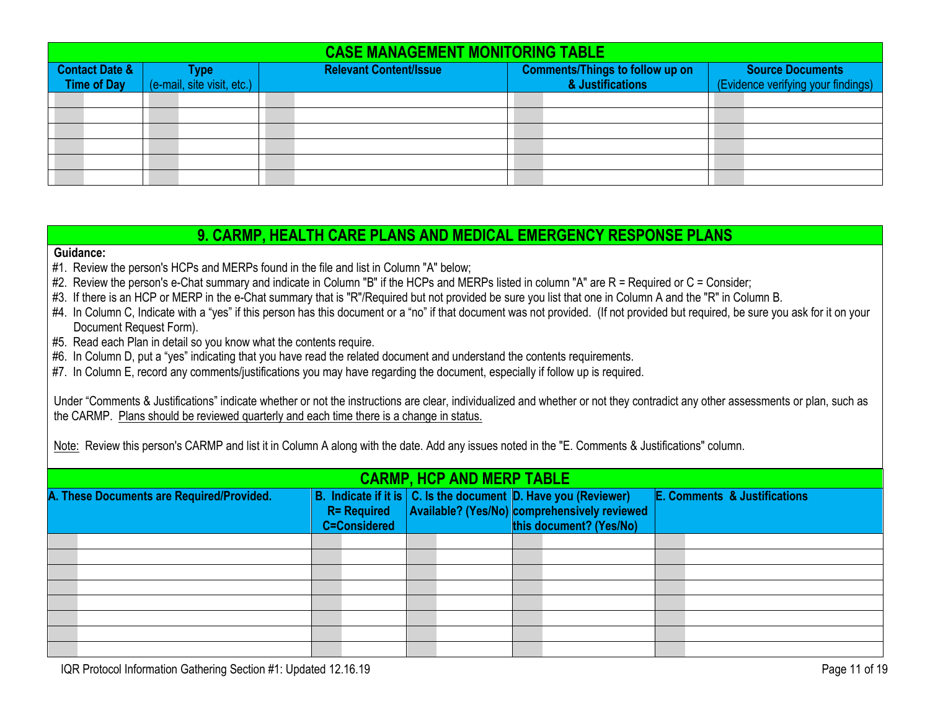|                                                 | <b>CASE MANAGEMENT MONITORING TABLE</b> |                                    |  |                               |                                                            |                                                        |  |  |  |  |
|-------------------------------------------------|-----------------------------------------|------------------------------------|--|-------------------------------|------------------------------------------------------------|--------------------------------------------------------|--|--|--|--|
| <b>Contact Date &amp;</b><br><b>Time of Day</b> |                                         | Type<br>(e-mail, site visit, etc.) |  | <b>Relevant Content/Issue</b> | <b>Comments/Things to follow up on</b><br>& Justifications | Source Documents<br>(Evidence verifying your findings) |  |  |  |  |
|                                                 |                                         |                                    |  |                               |                                                            |                                                        |  |  |  |  |
|                                                 |                                         |                                    |  |                               |                                                            |                                                        |  |  |  |  |
|                                                 |                                         |                                    |  |                               |                                                            |                                                        |  |  |  |  |
|                                                 |                                         |                                    |  |                               |                                                            |                                                        |  |  |  |  |
|                                                 |                                         |                                    |  |                               |                                                            |                                                        |  |  |  |  |
|                                                 |                                         |                                    |  |                               |                                                            |                                                        |  |  |  |  |

### <span id="page-10-0"></span>**9. CARMP, HEALTH CARE PLANS AND MEDICAL EMERGENCY RESPONSE PLANS**

#### **Guidance:**

- #1. Review the person's HCPs and MERPs found in the file and list in Column "A" below;
- #2. Review the person's e-Chat summary and indicate in Column "B" if the HCPs and MERPs listed in column "A" are R = Required or C = Consider;
- #3. If there is an HCP or MERP in the e-Chat summary that is "R"/Required but not provided be sure you list that one in Column A and the "R" in Column B.
- #4. In Column C, Indicate with a "yes" if this person has this document or a "no" if that document was not provided. (If not provided but required, be sure you ask for it on your Document Request Form).
- #5. Read each Plan in detail so you know what the contents require.
- #6. In Column D, put a "yes" indicating that you have read the related document and understand the contents requirements.
- #7. In Column E, record any comments/justifications you may have regarding the document, especially if follow up is required.

Under "Comments & Justifications" indicate whether or not the instructions are clear, individualized and whether or not they contradict any other assessments or plan, such as the CARMP. Plans should be reviewed quarterly and each time there is a change in status.

Note: Review this person's CARMP and list it in Column A along with the date. Add any issues noted in the "E. Comments & Justifications" column.

| <b>CARMP, HCP AND MERP TABLE</b>          |  |                                           |                                                                                                                                                     |  |                                         |  |  |  |  |
|-------------------------------------------|--|-------------------------------------------|-----------------------------------------------------------------------------------------------------------------------------------------------------|--|-----------------------------------------|--|--|--|--|
| A. These Documents are Required/Provided. |  | <b>R= Required</b><br><b>C=Considered</b> | B. Indicate if it is $ C $ . Is the document $ D $ . Have you (Reviewer)<br>Available? (Yes/No) comprehensively reviewed<br>this document? (Yes/No) |  | <b>E. Comments &amp; Justifications</b> |  |  |  |  |
|                                           |  |                                           |                                                                                                                                                     |  |                                         |  |  |  |  |
|                                           |  |                                           |                                                                                                                                                     |  |                                         |  |  |  |  |
|                                           |  |                                           |                                                                                                                                                     |  |                                         |  |  |  |  |
|                                           |  |                                           |                                                                                                                                                     |  |                                         |  |  |  |  |
|                                           |  |                                           |                                                                                                                                                     |  |                                         |  |  |  |  |
|                                           |  |                                           |                                                                                                                                                     |  |                                         |  |  |  |  |
|                                           |  |                                           |                                                                                                                                                     |  |                                         |  |  |  |  |
|                                           |  |                                           |                                                                                                                                                     |  |                                         |  |  |  |  |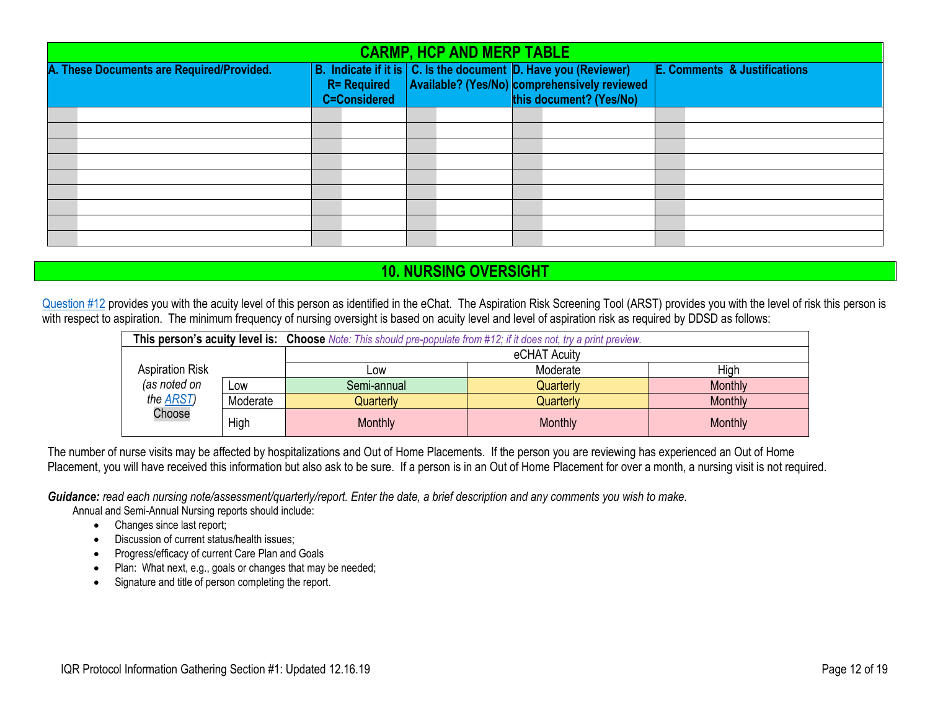| <b>CARMP, HCP AND MERP TABLE</b>          |                                                                                                                   |  |                                                                         |  |                                         |  |  |  |
|-------------------------------------------|-------------------------------------------------------------------------------------------------------------------|--|-------------------------------------------------------------------------|--|-----------------------------------------|--|--|--|
| A. These Documents are Required/Provided. | B. Indicate if it is   C. Is the document   D. Have you (Reviewer)  <br><b>R= Required</b><br><b>C=Considered</b> |  | Available? (Yes/No) comprehensively reviewed<br>this document? (Yes/No) |  | <b>E. Comments &amp; Justifications</b> |  |  |  |
|                                           |                                                                                                                   |  |                                                                         |  |                                         |  |  |  |
|                                           |                                                                                                                   |  |                                                                         |  |                                         |  |  |  |
|                                           |                                                                                                                   |  |                                                                         |  |                                         |  |  |  |
|                                           |                                                                                                                   |  |                                                                         |  |                                         |  |  |  |
|                                           |                                                                                                                   |  |                                                                         |  |                                         |  |  |  |
|                                           |                                                                                                                   |  |                                                                         |  |                                         |  |  |  |
|                                           |                                                                                                                   |  |                                                                         |  |                                         |  |  |  |
|                                           |                                                                                                                   |  |                                                                         |  |                                         |  |  |  |
|                                           |                                                                                                                   |  |                                                                         |  |                                         |  |  |  |

# <span id="page-11-0"></span>**10. NURSING OVERSIGHT**

[Question #12](#page-1-2) provides you with the acuity level of this person as identified in the eChat. The Aspiration Risk Screening Tool (ARST) provides you with the level of risk this person is with respect to aspiration. The minimum frequency of nursing oversight is based on acuity level and level of aspiration risk as required by DDSD as follows:

|                        |          | This person's acuity level is: Choose Note: This should pre-populate from #12; if it does not, try a print preview. |           |         |  |  |  |
|------------------------|----------|---------------------------------------------------------------------------------------------------------------------|-----------|---------|--|--|--|
|                        |          | eCHAT Acuity                                                                                                        |           |         |  |  |  |
| <b>Aspiration Risk</b> |          | <b>LOW</b>                                                                                                          | Moderate  | High    |  |  |  |
| (as noted on           | Low      | Semi-annual                                                                                                         | Quarterly | Monthly |  |  |  |
| the <b>ARST</b> )      | Moderate | Quarterly                                                                                                           | Quarterly | Monthly |  |  |  |
| Choose                 | High     | <b>Monthly</b>                                                                                                      | Monthly   | Monthly |  |  |  |

The number of nurse visits may be affected by hospitalizations and Out of Home Placements. If the person you are reviewing has experienced an Out of Home Placement, you will have received this information but also ask to be sure. If a person is in an Out of Home Placement for over a month, a nursing visit is not required.

*Guidance: read each nursing note/assessment/quarterly/report. Enter the date, a brief description and any comments you wish to make.*

Annual and Semi-Annual Nursing reports should include:

- Changes since last report;
- Discussion of current status/health issues:
- Progress/efficacy of current Care Plan and Goals
- Plan: What next, e.g., goals or changes that may be needed;
- Signature and title of person completing the report.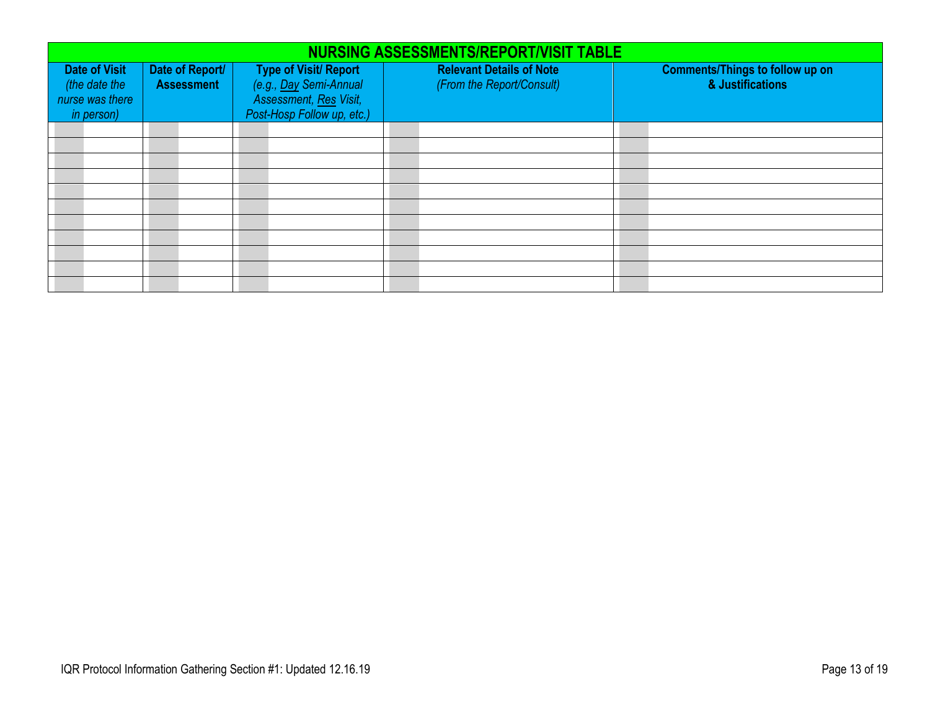|                                                                                                                | <b>NURSING ASSESSMENTS/REPORT/VISIT TABLE</b> |                                                                                                                |                                                              |                                                            |  |  |  |  |  |
|----------------------------------------------------------------------------------------------------------------|-----------------------------------------------|----------------------------------------------------------------------------------------------------------------|--------------------------------------------------------------|------------------------------------------------------------|--|--|--|--|--|
| <b>Date of Visit</b><br>Date of Report/<br><b>Assessment</b><br>(the date the<br>nurse was there<br>in person) |                                               | <b>Type of Visit/ Report</b><br>(e.g., Day Semi-Annual<br>Assessment, Res Visit,<br>Post-Hosp Follow up, etc.) | <b>Relevant Details of Note</b><br>(From the Report/Consult) | <b>Comments/Things to follow up on</b><br>& Justifications |  |  |  |  |  |
|                                                                                                                |                                               |                                                                                                                |                                                              |                                                            |  |  |  |  |  |
|                                                                                                                |                                               |                                                                                                                |                                                              |                                                            |  |  |  |  |  |
|                                                                                                                |                                               |                                                                                                                |                                                              |                                                            |  |  |  |  |  |
|                                                                                                                |                                               |                                                                                                                |                                                              |                                                            |  |  |  |  |  |
|                                                                                                                |                                               |                                                                                                                |                                                              |                                                            |  |  |  |  |  |
|                                                                                                                |                                               |                                                                                                                |                                                              |                                                            |  |  |  |  |  |
|                                                                                                                |                                               |                                                                                                                |                                                              |                                                            |  |  |  |  |  |
|                                                                                                                |                                               |                                                                                                                |                                                              |                                                            |  |  |  |  |  |
|                                                                                                                |                                               |                                                                                                                |                                                              |                                                            |  |  |  |  |  |
|                                                                                                                |                                               |                                                                                                                |                                                              |                                                            |  |  |  |  |  |
|                                                                                                                |                                               |                                                                                                                |                                                              |                                                            |  |  |  |  |  |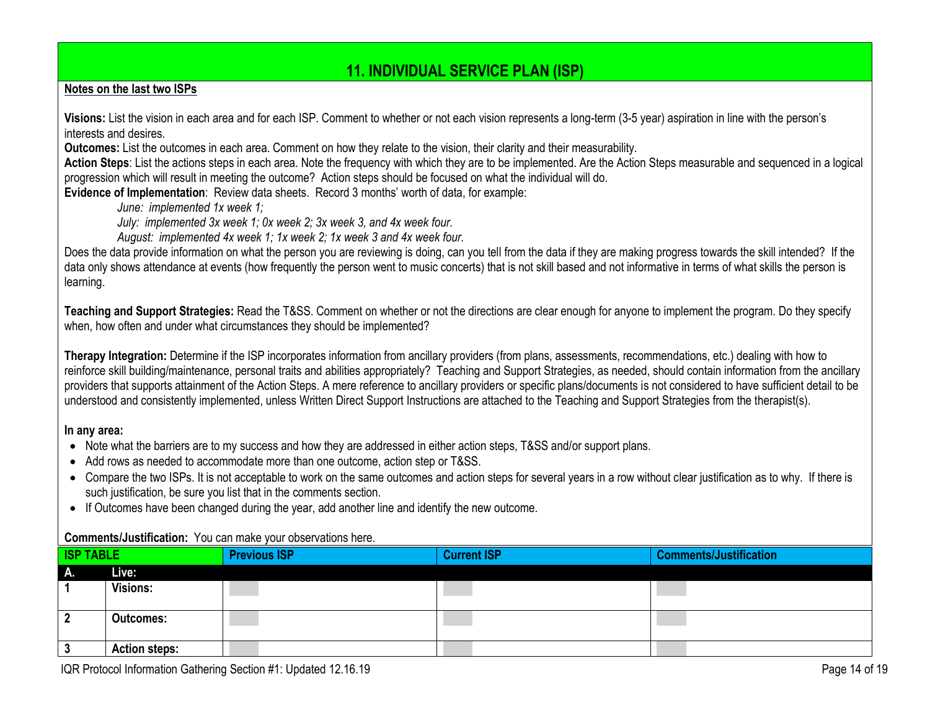# <span id="page-13-0"></span>**11. INDIVIDUAL SERVICE PLAN (ISP)**

#### **Notes on the last two ISPs**

**Visions:** List the vision in each area and for each ISP. Comment to whether or not each vision represents a long-term (3-5 year) aspiration in line with the person's interests and desires.

**Outcomes:** List the outcomes in each area. Comment on how they relate to the vision, their clarity and their measurability.

**Action Steps**: List the actions steps in each area. Note the frequency with which they are to be implemented. Are the Action Steps measurable and sequenced in a logical progression which will result in meeting the outcome? Action steps should be focused on what the individual will do.

**Evidence of Implementation**: Review data sheets. Record 3 months' worth of data, for example:

*June: implemented 1x week 1;*

*July: implemented 3x week 1; 0x week 2; 3x week 3, and 4x week four.*

*August: implemented 4x week 1; 1x week 2; 1x week 3 and 4x week four.*

Does the data provide information on what the person you are reviewing is doing, can you tell from the data if they are making progress towards the skill intended? If the data only shows attendance at events (how frequently the person went to music concerts) that is not skill based and not informative in terms of what skills the person is learning.

**Teaching and Support Strategies:** Read the T&SS. Comment on whether or not the directions are clear enough for anyone to implement the program. Do they specify when, how often and under what circumstances they should be implemented?

**Therapy Integration:** Determine if the ISP incorporates information from ancillary providers (from plans, assessments, recommendations, etc.) dealing with how to reinforce skill building/maintenance, personal traits and abilities appropriately? Teaching and Support Strategies, as needed, should contain information from the ancillary providers that supports attainment of the Action Steps. A mere reference to ancillary providers or specific plans/documents is not considered to have sufficient detail to be understood and consistently implemented, unless Written Direct Support Instructions are attached to the Teaching and Support Strategies from the therapist(s).

#### **In any area:**

- Note what the barriers are to my success and how they are addressed in either action steps, T&SS and/or support plans.
- Add rows as needed to accommodate more than one outcome, action step or T&SS.
- Compare the two ISPs. It is not acceptable to work on the same outcomes and action steps for several years in a row without clear justification as to why. If there is such justification, be sure you list that in the comments section.
- If Outcomes have been changed during the year, add another line and identify the new outcome.

#### **Comments/Justification:** You can make your observations here.

| <b>ISP TABLE</b> |                      | <b>Previous ISP</b> | <b>Current ISP</b> | <b>Comments/Justification</b> |
|------------------|----------------------|---------------------|--------------------|-------------------------------|
| Α.               | Live:                |                     |                    |                               |
|                  | <b>Visions:</b>      |                     |                    |                               |
|                  | <b>Outcomes:</b>     |                     |                    |                               |
|                  | <b>Action steps:</b> |                     |                    |                               |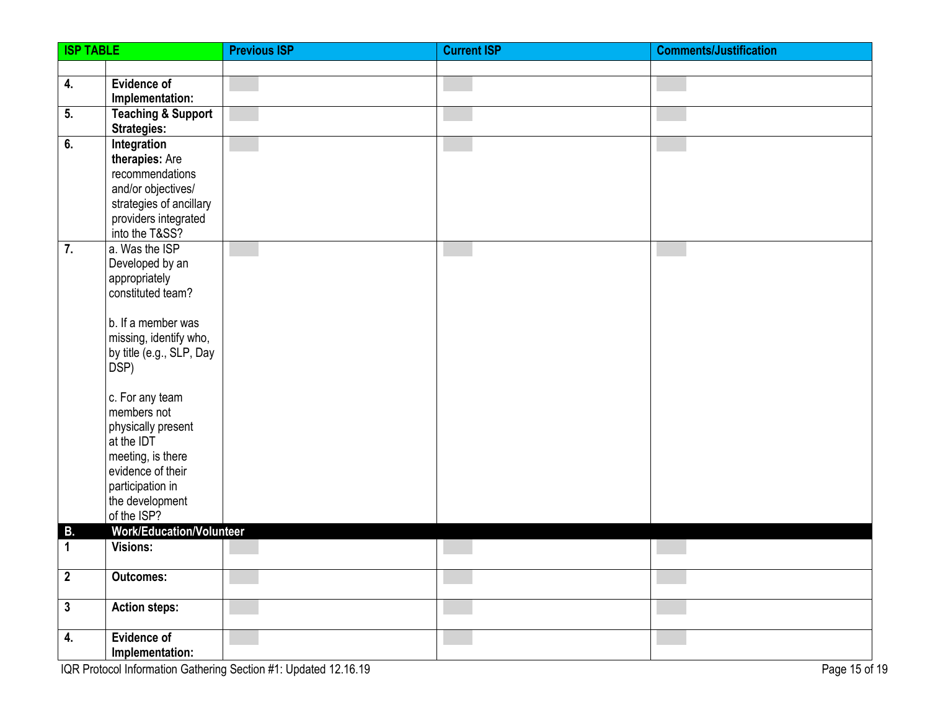| <b>ISP TABLE</b> |                                                     | <b>Previous ISP</b> | <b>Current ISP</b> | <b>Comments/Justification</b> |
|------------------|-----------------------------------------------------|---------------------|--------------------|-------------------------------|
|                  |                                                     |                     |                    |                               |
| 4.               | <b>Evidence of</b>                                  |                     |                    |                               |
|                  | Implementation:                                     |                     |                    |                               |
| 5.               | <b>Teaching &amp; Support</b><br><b>Strategies:</b> |                     |                    |                               |
| 6.               | Integration                                         |                     |                    |                               |
|                  | therapies: Are                                      |                     |                    |                               |
|                  | recommendations                                     |                     |                    |                               |
|                  | and/or objectives/                                  |                     |                    |                               |
|                  | strategies of ancillary                             |                     |                    |                               |
|                  | providers integrated                                |                     |                    |                               |
| $\overline{7}$ . | into the T&SS?<br>a. Was the ISP                    |                     |                    |                               |
|                  | Developed by an                                     |                     |                    |                               |
|                  | appropriately                                       |                     |                    |                               |
|                  | constituted team?                                   |                     |                    |                               |
|                  |                                                     |                     |                    |                               |
|                  | b. If a member was                                  |                     |                    |                               |
|                  | missing, identify who,                              |                     |                    |                               |
|                  | by title (e.g., SLP, Day<br>DSP)                    |                     |                    |                               |
|                  |                                                     |                     |                    |                               |
|                  | c. For any team                                     |                     |                    |                               |
|                  | members not                                         |                     |                    |                               |
|                  | physically present                                  |                     |                    |                               |
|                  | at the IDT                                          |                     |                    |                               |
|                  | meeting, is there<br>evidence of their              |                     |                    |                               |
|                  | participation in                                    |                     |                    |                               |
|                  | the development                                     |                     |                    |                               |
|                  | of the ISP?                                         |                     |                    |                               |
| В.               | <b>Work/Education/Volunteer</b>                     |                     |                    |                               |
| 1                | <b>Visions:</b>                                     |                     |                    |                               |
| $\boldsymbol{2}$ | <b>Outcomes:</b>                                    |                     |                    |                               |
| $\mathbf{3}$     | <b>Action steps:</b>                                |                     |                    |                               |
|                  |                                                     |                     |                    |                               |
| 4.               | <b>Evidence of</b>                                  |                     |                    |                               |
|                  | Implementation:                                     |                     |                    |                               |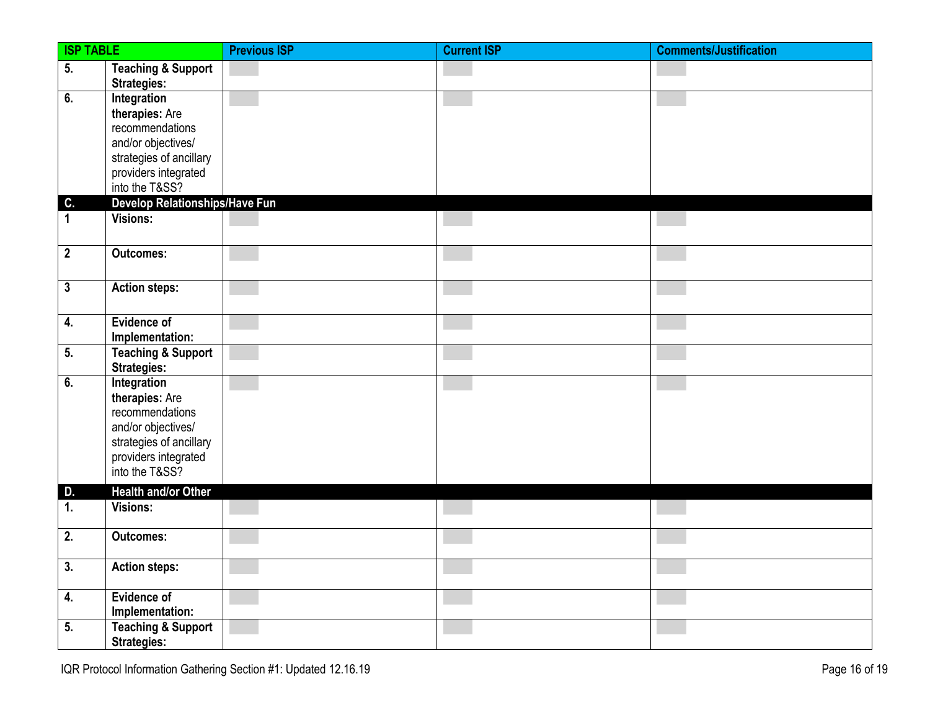| <b>ISP TABLE</b> |                                                                                                                                             | <b>Previous ISP</b> | <b>Current ISP</b> | <b>Comments/Justification</b> |
|------------------|---------------------------------------------------------------------------------------------------------------------------------------------|---------------------|--------------------|-------------------------------|
| 5.               | <b>Teaching &amp; Support</b><br><b>Strategies:</b>                                                                                         |                     |                    |                               |
| 6.               | Integration<br>therapies: Are<br>recommendations<br>and/or objectives/<br>strategies of ancillary<br>providers integrated<br>into the T&SS? |                     |                    |                               |
| C.               | Develop Relationships/Have Fun                                                                                                              |                     |                    |                               |
| $\mathbf{1}$     | Visions:                                                                                                                                    |                     |                    |                               |
| $\mathbf{2}$     | <b>Outcomes:</b>                                                                                                                            |                     |                    |                               |
| $\mathbf{3}$     | <b>Action steps:</b>                                                                                                                        |                     |                    |                               |
| 4.               | Evidence of<br>Implementation:                                                                                                              |                     |                    |                               |
| 5.               | <b>Teaching &amp; Support</b><br><b>Strategies:</b>                                                                                         |                     |                    |                               |
| 6.               | Integration<br>therapies: Are<br>recommendations<br>and/or objectives/<br>strategies of ancillary<br>providers integrated<br>into the T&SS? |                     |                    |                               |
| D.               | Health and/or Other                                                                                                                         |                     |                    |                               |
| 1.               | Visions:                                                                                                                                    |                     |                    |                               |
| 2.               | <b>Outcomes:</b>                                                                                                                            |                     |                    |                               |
| 3.               | <b>Action steps:</b>                                                                                                                        |                     |                    |                               |
| 4.<br>5.         | <b>Evidence of</b><br>Implementation:<br><b>Teaching &amp; Support</b>                                                                      |                     |                    |                               |
|                  | <b>Strategies:</b>                                                                                                                          |                     |                    |                               |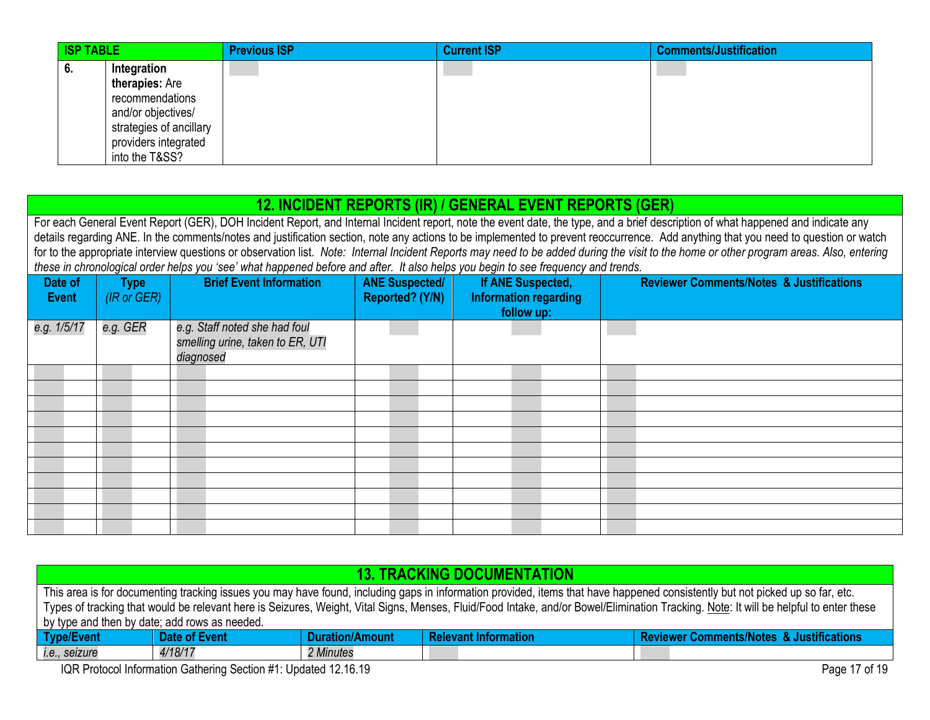| <b>ISP TABLE</b>                                                                                                                                  | <b>Previous ISP</b> | <b>Current ISP</b> | <b>Comments/Justification</b> |
|---------------------------------------------------------------------------------------------------------------------------------------------------|---------------------|--------------------|-------------------------------|
| Integration<br>v.<br>therapies: Are<br>recommendations<br>and/or objectives/<br>strategies of ancillary<br>providers integrated<br>into the T&SS? |                     |                    |                               |

## **12. INCIDENT REPORTS (IR) / GENERAL EVENT REPORTS (GER)**

<span id="page-16-0"></span>For each General Event Report (GER), DOH Incident Report, and Internal Incident report, note the event date, the type, and a brief description of what happened and indicate any details regarding ANE. In the comments/notes and justification section, note any actions to be implemented to prevent reoccurrence. Add anything that you need to question or watch for to the appropriate interview questions or observation list. *Note: Internal Incident Reports may need to be added during the visit to the home or other program areas. Also, entering these in chronological order helps you 'see' what happened before and after. It also helps you begin to see frequency and trends.*

| Date of<br><b>Event</b> | <b>Type</b><br>(IR or GER) | <b>Brief Event Information</b>                                                 | <b>ANE Suspected/</b><br>Reported? (Y/N) | If ANE Suspected,<br><b>Information regarding</b><br>follow up: | <b>Reviewer Comments/Notes &amp; Justifications</b> |
|-------------------------|----------------------------|--------------------------------------------------------------------------------|------------------------------------------|-----------------------------------------------------------------|-----------------------------------------------------|
| e.g. 1/5/17             | e.g. GER                   | e.g. Staff noted she had foul<br>smelling urine, taken to ER, UTI<br>diagnosed |                                          |                                                                 |                                                     |
|                         |                            |                                                                                |                                          |                                                                 |                                                     |
|                         |                            |                                                                                |                                          |                                                                 |                                                     |
|                         |                            |                                                                                |                                          |                                                                 |                                                     |
|                         |                            |                                                                                |                                          |                                                                 |                                                     |
|                         |                            |                                                                                |                                          |                                                                 |                                                     |
|                         |                            |                                                                                |                                          |                                                                 |                                                     |
|                         |                            |                                                                                |                                          |                                                                 |                                                     |
|                         |                            |                                                                                |                                          |                                                                 |                                                     |
|                         |                            |                                                                                |                                          |                                                                 |                                                     |
|                         |                            |                                                                                |                                          |                                                                 |                                                     |
|                         |                            |                                                                                |                                          |                                                                 |                                                     |

<span id="page-16-1"></span>

| <b>13. TRACKING DOCUMENTATION</b> |                                                                                                                                                                               |                        |                      |                                                                                                                                                                                       |  |  |  |  |  |
|-----------------------------------|-------------------------------------------------------------------------------------------------------------------------------------------------------------------------------|------------------------|----------------------|---------------------------------------------------------------------------------------------------------------------------------------------------------------------------------------|--|--|--|--|--|
|                                   |                                                                                                                                                                               |                        |                      |                                                                                                                                                                                       |  |  |  |  |  |
|                                   | This area is for documenting tracking issues you may have found, including gaps in information provided, items that have happened consistently but not picked up so far, etc. |                        |                      |                                                                                                                                                                                       |  |  |  |  |  |
|                                   |                                                                                                                                                                               |                        |                      | Types of tracking that would be relevant here is Seizures, Weight, Vital Signs, Menses, Fluid/Food Intake, and/or Bowel/Elimination Tracking. Note: It will be helpful to enter these |  |  |  |  |  |
|                                   |                                                                                                                                                                               |                        |                      |                                                                                                                                                                                       |  |  |  |  |  |
|                                   | by type and then by date; add rows as needed.                                                                                                                                 |                        |                      |                                                                                                                                                                                       |  |  |  |  |  |
| Type/Event                        | Date of Event                                                                                                                                                                 | <b>Duration/Amount</b> | Relevant Information | <b>Reviewer Comments/Notes &amp; Justifications</b>                                                                                                                                   |  |  |  |  |  |
|                                   |                                                                                                                                                                               |                        |                      |                                                                                                                                                                                       |  |  |  |  |  |
| i.e., seizure                     | 4/18/17                                                                                                                                                                       | 2 Minutes              |                      |                                                                                                                                                                                       |  |  |  |  |  |
|                                   | $10D$ Destace Information Catherine Costian $44.1$ Indeted 19.10.10<br>$D_{max}$ 47 $\leq$ 40                                                                                 |                        |                      |                                                                                                                                                                                       |  |  |  |  |  |

IQR Protocol Information Gathering Section #1: Updated 12.16.19 Page 17 of 19 Page 17 of 19